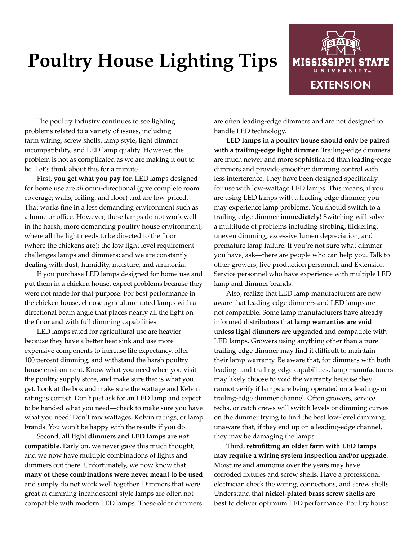## **Poultry House Lighting Tips**



The poultry industry continues to see lighting problems related to a variety of issues, including farm wiring, screw shells, lamp style, light dimmer incompatibility, and LED lamp quality. However, the problem is not as complicated as we are making it out to be. Let's think about this for a minute.

First, **you get what you pay for**. LED lamps designed for home use are *all* omni-directional (give complete room coverage; walls, ceiling, and floor) and are low-priced. That works fine in a less demanding environment such as a home or office. However, these lamps do not work well in the harsh, more demanding poultry house environment, where all the light needs to be directed to the floor (where the chickens are); the low light level requirement challenges lamps and dimmers; and we are constantly dealing with dust, humidity, moisture, and ammonia.

If you purchase LED lamps designed for home use and put them in a chicken house, expect problems because they were not made for that purpose. For best performance in the chicken house, choose agriculture-rated lamps with a directional beam angle that places nearly all the light on the floor and with full dimming capabilities.

LED lamps rated for agricultural use are heavier because they have a better heat sink and use more expensive components to increase life expectancy, offer 100 percent dimming, and withstand the harsh poultry house environment. Know what you need when you visit the poultry supply store, and make sure that is what you get. Look at the box and make sure the wattage and Kelvin rating is correct. Don't just ask for an LED lamp and expect to be handed what you need—check to make sure you have what you need! Don't mix wattages, Kelvin ratings, or lamp brands. You won't be happy with the results if you do.

Second, **all light dimmers and LED lamps are** *not* **compatible**. Early on, we never gave this much thought, and we now have multiple combinations of lights and dimmers out there. Unfortunately, we now know that **many of these combinations were never meant to be used** and simply do not work well together. Dimmers that were great at dimming incandescent style lamps are often not compatible with modern LED lamps. These older dimmers

are often leading-edge dimmers and are not designed to handle LED technology.

**LED lamps in a poultry house should only be paired with a trailing-edge light dimmer.** Trailing-edge dimmers are much newer and more sophisticated than leading-edge dimmers and provide smoother dimming control with less interference. They have been designed specifically for use with low-wattage LED lamps. This means, if you are using LED lamps with a leading-edge dimmer, you may experience lamp problems. You should switch to a trailing-edge dimmer **immediately**! Switching will solve a multitude of problems including strobing, flickering, uneven dimming, excessive lumen depreciation, and premature lamp failure. If you're not sure what dimmer you have, ask—there are people who can help you. Talk to other growers, live production personnel, and Extension Service personnel who have experience with multiple LED lamp and dimmer brands.

Also, realize that LED lamp manufacturers are now aware that leading-edge dimmers and LED lamps are not compatible. Some lamp manufacturers have already informed distributors that **lamp warranties are void unless light dimmers are upgraded** and compatible with LED lamps. Growers using anything other than a pure trailing-edge dimmer may find it difficult to maintain their lamp warranty. Be aware that, for dimmers with both leading- and trailing-edge capabilities, lamp manufacturers may likely choose to void the warranty because they cannot verify if lamps are being operated on a leading- or trailing-edge dimmer channel. Often growers, service techs, or catch crews will switch levels or dimming curves on the dimmer trying to find the best low-level dimming, unaware that, if they end up on a leading-edge channel, they may be damaging the lamps.

Third, **retrofitting an older farm with LED lamps may require a wiring system inspection and/or upgrade**. Moisture and ammonia over the years may have corroded fixtures and screw shells. Have a professional electrician check the wiring, connections, and screw shells. Understand that **nickel-plated brass screw shells are best** to deliver optimum LED performance. Poultry house